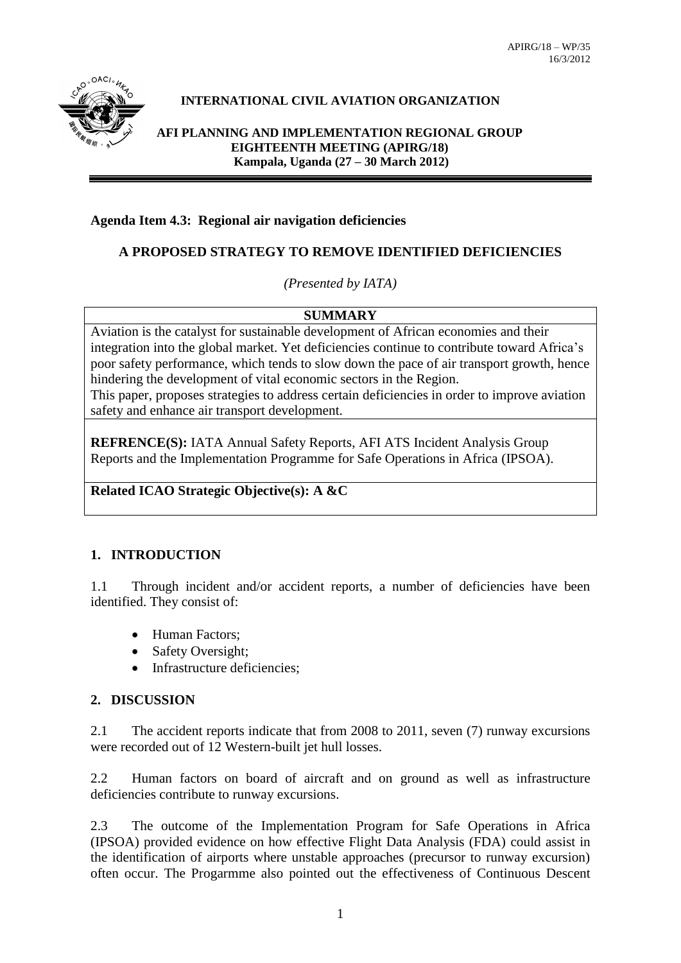

# **INTERNATIONAL CIVIL AVIATION ORGANIZATION**

#### **AFI PLANNING AND IMPLEMENTATION REGIONAL GROUP EIGHTEENTH MEETING (APIRG/18) Kampala, Uganda (27 – 30 March 2012)**

### **Agenda Item 4.3: Regional air navigation deficiencies**

# **A PROPOSED STRATEGY TO REMOVE IDENTIFIED DEFICIENCIES**

*(Presented by IATA)*

#### **SUMMARY**

Aviation is the catalyst for sustainable development of African economies and their integration into the global market. Yet deficiencies continue to contribute toward Africa's poor safety performance, which tends to slow down the pace of air transport growth, hence hindering the development of vital economic sectors in the Region.

This paper, proposes strategies to address certain deficiencies in order to improve aviation safety and enhance air transport development.

**REFRENCE(S):** IATA Annual Safety Reports, AFI ATS Incident Analysis Group Reports and the Implementation Programme for Safe Operations in Africa (IPSOA).

#### **Related ICAO Strategic Objective(s): A &C**

# **1. INTRODUCTION**

1.1 Through incident and/or accident reports, a number of deficiencies have been identified. They consist of:

- Human Factors:
- Safety Oversight;
- Infrastructure deficiencies;

# **2. DISCUSSION**

2.1 The accident reports indicate that from 2008 to 2011, seven (7) runway excursions were recorded out of 12 Western-built jet hull losses.

2.2 Human factors on board of aircraft and on ground as well as infrastructure deficiencies contribute to runway excursions.

2.3 The outcome of the Implementation Program for Safe Operations in Africa (IPSOA) provided evidence on how effective Flight Data Analysis (FDA) could assist in the identification of airports where unstable approaches (precursor to runway excursion) often occur. The Progarmme also pointed out the effectiveness of Continuous Descent